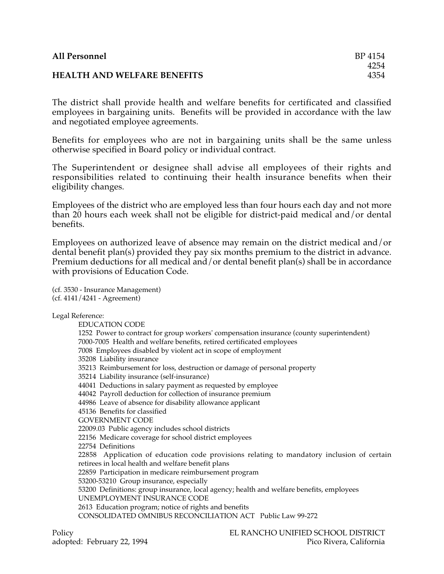| <b>All Personnel</b>               | BP 4154 |
|------------------------------------|---------|
|                                    | 4254    |
| <b>HEALTH AND WELFARE BENEFITS</b> | 4354    |

The district shall provide health and welfare benefits for certificated and classified employees in bargaining units. Benefits will be provided in accordance with the law and negotiated employee agreements.

Benefits for employees who are not in bargaining units shall be the same unless otherwise specified in Board policy or individual contract.

The Superintendent or designee shall advise all employees of their rights and responsibilities related to continuing their health insurance benefits when their eligibility changes.

Employees of the district who are employed less than four hours each day and not more than 20 hours each week shall not be eligible for district-paid medical and/or dental benefits.

Employees on authorized leave of absence may remain on the district medical and/or dental benefit plan(s) provided they pay six months premium to the district in advance. Premium deductions for all medical and/or dental benefit plan(s) shall be in accordance with provisions of Education Code.

(cf. 3530 - Insurance Management) (cf. 4141/4241 - Agreement)

Legal Reference:

EDUCATION CODE 1252 Power to contract for group workers' compensation insurance (county superintendent) 7000-7005 Health and welfare benefits, retired certificated employees 7008 Employees disabled by violent act in scope of employment 35208 Liability insurance 35213 Reimbursement for loss, destruction or damage of personal property 35214 Liability insurance (self-insurance) 44041 Deductions in salary payment as requested by employee 44042 Payroll deduction for collection of insurance premium 44986 Leave of absence for disability allowance applicant 45136 Benefits for classified GOVERNMENT CODE 22009.03 Public agency includes school districts 22156 Medicare coverage for school district employees 22754 Definitions 22858 Application of education code provisions relating to mandatory inclusion of certain retirees in local health and welfare benefit plans 22859 Participation in medicare reimbursement program 53200-53210 Group insurance, especially 53200 Definitions: group insurance, local agency; health and welfare benefits, employees UNEMPLOYMENT INSURANCE CODE 2613 Education program; notice of rights and benefits CONSOLIDATED OMNIBUS RECONCILIATION ACT Public Law 99-272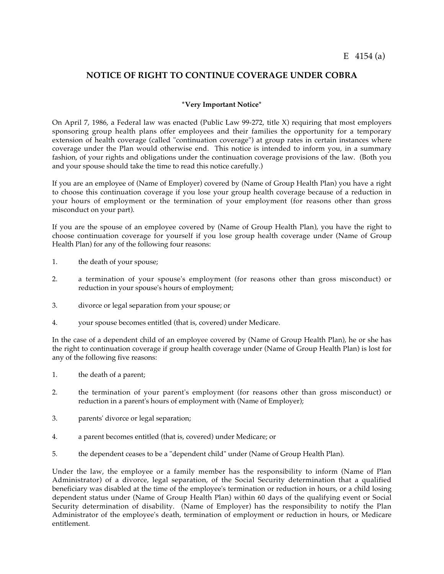## **NOTICE OF RIGHT TO CONTINUE COVERAGE UNDER COBRA**

## **\*Very Important Notice\***

On April 7, 1986, a Federal law was enacted (Public Law 99-272, title X) requiring that most employers sponsoring group health plans offer employees and their families the opportunity for a temporary extension of health coverage (called "continuation coverage") at group rates in certain instances where coverage under the Plan would otherwise end. This notice is intended to inform you, in a summary fashion, of your rights and obligations under the continuation coverage provisions of the law. (Both you and your spouse should take the time to read this notice carefully.)

If you are an employee of (Name of Employer) covered by (Name of Group Health Plan) you have a right to choose this continuation coverage if you lose your group health coverage because of a reduction in your hours of employment or the termination of your employment (for reasons other than gross misconduct on your part).

If you are the spouse of an employee covered by (Name of Group Health Plan), you have the right to choose continuation coverage for yourself if you lose group health coverage under (Name of Group Health Plan) for any of the following four reasons:

- 1. the death of your spouse;
- 2. a termination of your spouse's employment (for reasons other than gross misconduct) or reduction in your spouse's hours of employment;
- 3. divorce or legal separation from your spouse; or
- 4. your spouse becomes entitled (that is, covered) under Medicare.

In the case of a dependent child of an employee covered by (Name of Group Health Plan), he or she has the right to continuation coverage if group health coverage under (Name of Group Health Plan) is lost for any of the following five reasons:

- 1. the death of a parent;
- 2. the termination of your parent's employment (for reasons other than gross misconduct) or reduction in a parent's hours of employment with (Name of Employer);
- 3. parents' divorce or legal separation;
- 4. a parent becomes entitled (that is, covered) under Medicare; or
- 5. the dependent ceases to be a "dependent child" under (Name of Group Health Plan).

Under the law, the employee or a family member has the responsibility to inform (Name of Plan Administrator) of a divorce, legal separation, of the Social Security determination that a qualified beneficiary was disabled at the time of the employee's termination or reduction in hours, or a child losing dependent status under (Name of Group Health Plan) within 60 days of the qualifying event or Social Security determination of disability. (Name of Employer) has the responsibility to notify the Plan Administrator of the employee's death, termination of employment or reduction in hours, or Medicare entitlement.